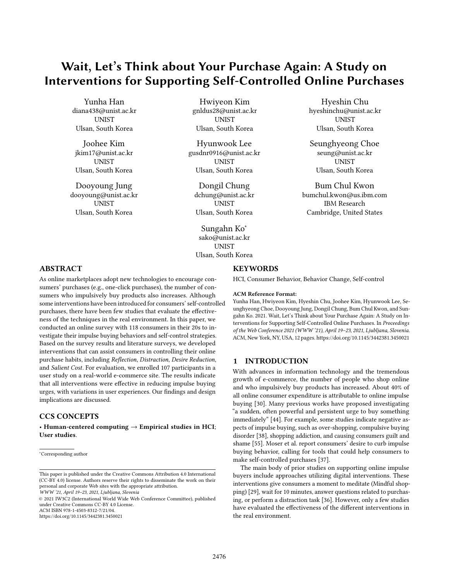# Wait, Let's Think about Your Purchase Again: A Study on Interventions for Supporting Self-Controlled Online Purchases

Yunha Han diana438@unist.ac.kr **UNIST** Ulsan, South Korea

Joohee Kim jkim17@unist.ac.kr UNIST Ulsan, South Korea

Dooyoung Jung dooyoung@unist.ac.kr UNIST Ulsan, South Korea

Hwiyeon Kim gnldus28@unist.ac.kr **UNIST** Ulsan, South Korea

Hyunwook Lee gusdnr0916@unist.ac.kr UNIST Ulsan, South Korea

Dongil Chung dchung@unist.ac.kr UNIST Ulsan, South Korea

Sungahn Ko<sup>∗</sup> sako@unist.ac.kr **UNIST** Ulsan, South Korea

Hyeshin Chu hyeshinchu@unist.ac.kr **UNIST** Ulsan, South Korea

Seunghyeong Choe seung@unist.ac.kr UNIST Ulsan, South Korea

Bum Chul Kwon bumchul.kwon@us.ibm.com IBM Research Cambridge, United States

# ABSTRACT

As online marketplaces adopt new technologies to encourage consumers' purchases (e.g., one-click purchases), the number of consumers who impulsively buy products also increases. Although some interventions have been introduced for consumers' self-controlled purchases, there have been few studies that evaluate the effectiveness of the techniques in the real environment. In this paper, we conducted an online survey with 118 consumers in their 20s to investigate their impulse buying behaviors and self-control strategies. Based on the survey results and literature surveys, we developed interventions that can assist consumers in controlling their online purchase habits, including Reflection, Distraction, Desire Reduction, and Salient Cost. For evaluation, we enrolled 107 participants in a user study on a real-world e-commerce site. The results indicate that all interventions were effective in reducing impulse buying urges, with variations in user experiences. Our findings and design implications are discussed.

# CCS CONCEPTS

• Human-centered computing  $\rightarrow$  Empirical studies in HCI; User studies.

© 2021 IW3C2 (International World Wide Web Conference Committee), published under Creative Commons CC-BY 4.0 License. ACM ISBN 978-1-4503-8312-7/21/04.

<https://doi.org/10.1145/3442381.3450021>

### **KEYWORDS**

HCI, Consumer Behavior, Behavior Change, Self-control

#### ACM Reference Format:

Yunha Han, Hwiyeon Kim, Hyeshin Chu, Joohee Kim, Hyunwook Lee, Seunghyeong Choe, Dooyoung Jung, Dongil Chung, Bum Chul Kwon, and Sungahn Ko. 2021. Wait, Let's Think about Your Purchase Again: A Study on Interventions for Supporting Self-Controlled Online Purchases. In Proceedings of the Web Conference 2021 (WWW '21), April 19–23, 2021, Ljubljana, Slovenia. ACM, New York, NY, USA, [12](#page-11-0) pages.<https://doi.org/10.1145/3442381.3450021>

# 1 INTRODUCTION

With advances in information technology and the tremendous growth of e-commerce, the number of people who shop online and who impulsively buy products has increased. About 40% of all online consumer expenditure is attributable to online impulse buying [\[30\]](#page-11-1). Many previous works have proposed investigating "a sudden, often powerful and persistent urge to buy something immediately" [\[44\]](#page-11-2). For example, some studies indicate negative aspects of impulse buying, such as over-shopping, compulsive buying disorder [\[38\]](#page-11-3), shopping addiction, and causing consumers guilt and shame [\[55\]](#page-11-4). Moser et al. report consumers' desire to curb impulse buying behavior, calling for tools that could help consumers to make self-controlled purchases [\[37\]](#page-11-5).

The main body of prior studies on supporting online impulse buyers include approaches utilizing digital interventions. These interventions give consumers a moment to meditate (Mindful shopping) [\[29\]](#page-11-6), wait for 10 minutes, answer questions related to purchasing, or perform a distraction task [\[36\]](#page-11-7). However, only a few studies have evaluated the effectiveness of the different interventions in the real environment.

<sup>∗</sup>Corresponding author

This paper is published under the Creative Commons Attribution 4.0 International (CC-BY 4.0) license. Authors reserve their rights to disseminate the work on their personal and corporate Web sites with the appropriate attribution. WWW '21, April 19–23, 2021, Ljubljana, Slovenia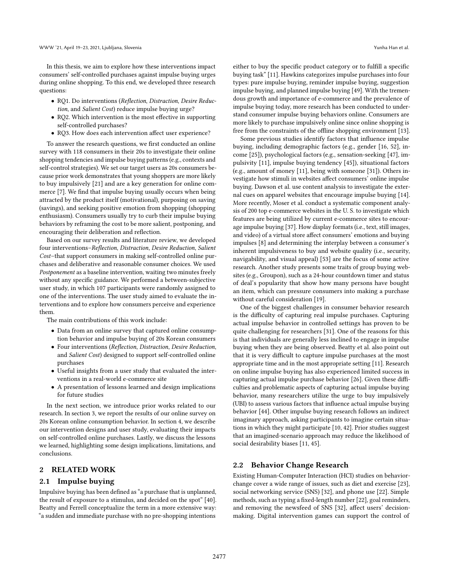In this thesis, we aim to explore how these interventions impact consumers' self-controlled purchases against impulse buying urges during online shopping. To this end, we developed three research questions:

- RQ1. Do interventions (Reflection, Distraction, Desire Reduction, and Salient Cost) reduce impulse buying urge?
- RQ2. Which intervention is the most effective in supporting self-controlled purchases?
- RQ3. How does each intervention affect user experience?

To answer the research questions, we first conducted an online survey with 118 consumers in their 20s to investigate their online shopping tendencies and impulse buying patterns (e.g., contexts and self-control strategies). We set our target users as 20s consumers because prior work demonstrates that young shoppers are more likely to buy impulsively [\[21\]](#page-11-8) and are a key generation for online commerce [\[7\]](#page-11-9). We find that impulse buying usually occurs when being attracted by the product itself (motivational), purposing on saving (savings), and seeking positive emotion from shopping (shopping enthusiasm). Consumers usually try to curb their impulse buying behaviors by reframing the cost to be more salient, postponing, and encouraging their deliberation and reflection.

Based on our survey results and literature review, we developed four interventions–Reflection, Distraction, Desire Reduction, Salient Cost–that support consumers in making self-controlled online purchases and deliberative and reasonable consumer choices. We used Postponement as a baseline intervention, waiting two minutes freely without any specific guidance. We performed a between-subjective user study, in which 107 participants were randomly assigned to one of the interventions. The user study aimed to evaluate the interventions and to explore how consumers perceive and experience them.

The main contributions of this work include:

- Data from an online survey that captured online consumption behavior and impulse buying of 20s Korean consumers
- Four interventions (Reflection, Distraction, Desire Reduction, and Salient Cost) designed to support self-controlled online purchases
- Useful insights from a user study that evaluated the interventions in a real-world e-commerce site
- A presentation of lessons learned and design implications for future studies

In the next section, we introduce prior works related to our research. In section 3, we report the results of our online survey on 20s Korean online consumption behavior. In section 4, we describe our intervention designs and user study, evaluating their impacts on self-controlled online purchases. Lastly, we discuss the lessons we learned, highlighting some design implications, limitations, and conclusions.

### 2 RELATED WORK

### 2.1 Impulse buying

Impulsive buying has been defined as "a purchase that is unplanned, the result of exposure to a stimulus, and decided on the spot" [\[40\]](#page-11-10). Beatty and Ferrell conceptualize the term in a more extensive way: "a sudden and immediate purchase with no pre-shopping intentions

either to buy the specific product category or to fulfill a specific buying task" [\[11\]](#page-11-11). Hawkins categorizes impulse purchases into four types: pure impulse buying, reminder impulse buying, suggestion impulse buying, and planned impulse buying [\[49\]](#page-11-12). With the tremendous growth and importance of e-commerce and the prevalence of impulse buying today, more research has been conducted to understand consumer impulse buying behaviors online. Consumers are more likely to purchase impulsively online since online shopping is free from the constraints of the offline shopping environment [\[13\]](#page-11-13).

Some previous studies identify factors that influence impulse buying, including demographic factors (e.g., gender [\[16,](#page-11-14) [52\]](#page-11-15), income [\[25\]](#page-11-16)), psychological factors (e.g., sensation-seeking [\[47\]](#page-11-17), impulsivity [\[11\]](#page-11-11), impulse buying tendency [\[45\]](#page-11-18)), situational factors (e.g., amount of money [\[11\]](#page-11-11), being with someone [\[31\]](#page-11-19)). Others investigate how stimuli in websites affect consumers' online impulse buying. Dawson et al. use content analysis to investigate the external cues on apparel websites that encourage impulse buying [\[14\]](#page-11-20). More recently, Moser et al. conduct a systematic component analysis of 200 top e-commerce websites in the U. S. to investigate which features are being utilized by current e-commerce sites to encourage impulse buying [\[37\]](#page-11-5). How display formats (i.e., text, still images, and video) of a virtual store affect consumers' emotions and buying impulses [\[8\]](#page-11-21) and determining the interplay between a consumer's inherent impulsiveness to buy and website quality (i.e., security, navigability, and visual appeal) [\[53\]](#page-11-22) are the focus of some active research. Another study presents some traits of group buying websites (e.g., Groupon), such as a 24-hour countdown timer and status of deal's popularity that show how many persons have bought an item, which can pressure consumers into making a purchase without careful consideration [\[19\]](#page-11-23).

One of the biggest challenges in consumer behavior research is the difficulty of capturing real impulse purchases. Capturing actual impulse behavior in controlled settings has proven to be quite challenging for researchers [\[31\]](#page-11-19). One of the reasons for this is that individuals are generally less inclined to engage in impulse buying when they are being observed. Beatty et al. also point out that it is very difficult to capture impulse purchases at the most appropriate time and in the most appropriate setting [\[11\]](#page-11-11). Research on online impulse buying has also experienced limited success in capturing actual impulse purchase behavior [\[26\]](#page-11-24). Given these difficulties and problematic aspects of capturing actual impulse buying behavior, many researchers utilize the urge to buy impulsively (UBI) to assess various factors that influence actual impulse buying behavior [\[44\]](#page-11-2). Other impulse buying research follows an indirect imaginary approach, asking participants to imagine certain situations in which they might participate [\[10,](#page-11-25) [42\]](#page-11-26). Prior studies suggest that an imagined-scenario approach may reduce the likelihood of social desirability biases [\[11,](#page-11-11) [45\]](#page-11-18).

### 2.2 Behavior Change Research

Existing Human-Computer Interaction (HCI) studies on behaviorchange cover a wide range of issues, such as diet and exercise [\[23\]](#page-11-27), social networking service (SNS) [\[32\]](#page-11-28), and phone use [\[22\]](#page-11-29). Simple methods, such as typing a fixed-length number [\[22\]](#page-11-29), goal reminders, and removing the newsfeed of SNS [\[32\]](#page-11-28), affect users' decisionmaking. Digital intervention games can support the control of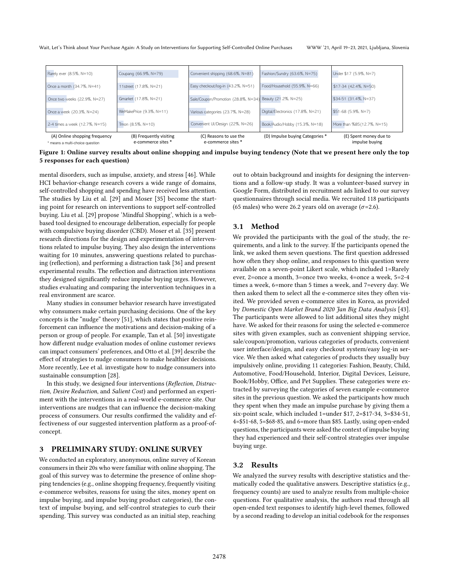Wait, Let's Think about Your Purchase Again: A Study on Interventions for Supporting Self-Controlled Online Purchases WWW '21, April 19–23, 2021, Ljubljana, Slovenia

<span id="page-2-0"></span>

| (A) Online shopping frequency<br>* means a multi-choice question | (B) Frequently visiting<br>e-commerce sites * | (C) Reasons to use the<br>e-commerce sites *             | (D) Impulse buying Categories *   | (E) Spent money due to<br>impulse buying |
|------------------------------------------------------------------|-----------------------------------------------|----------------------------------------------------------|-----------------------------------|------------------------------------------|
| 2-4 times a week (12.7%, N=15)                                   | Tmon (8.5%, N=10)                             | Convenient UI/Design (22%, N=26)                         | Book/Audio/Hobby (15.3%, N=18)    | More than %85(12.7%, N=15)               |
| Once a week (20.3%, N=24)                                        | WeMakePrice (9.3%, N=11)                      | Various categories (23.7%, N=28)                         | Digital/Electronics (17.8%, N=21) | \$51-68 (5.9%, N=7)                      |
| Once two weeks (22.9%, N=27)                                     | Gmarket (17.8%, N=21)                         | Sale/Coupon/Promotion (28.8%, N=34) Beauty (21.2%, N=25) |                                   | \$34-51 (31.4%, N=37)                    |
| Once a month (34.7%, N=41)                                       | 11street (17.8%, N=21)                        | Easy checkout/log-in (43.2%, N=51)                       | Food/Household (55.9%, N=66)      | \$17-34 (42.4%, N=50)                    |
| Rarely ever (8.5%, N=10)                                         | Coupang (66.9%, N=79)                         | Convenient shipping (68.6%, N=81)                        | Fashion/Sundry (63.6%, N=75)      | Under \$17 (5.9%, N=7)                   |

Figure 1: Online survey results about online shopping and impulse buying tendency (Note that we present here only the top 5 responses for each question)

mental disorders, such as impulse, anxiety, and stress [\[46\]](#page-11-30). While HCI behavior-change research covers a wide range of domains, self-controlled shopping and spending have received less attention. The studies by Liu et al. [\[29\]](#page-11-6) and Moser [\[35\]](#page-11-31) become the starting point for research on interventions to support self-controlled buying. Liu et al. [\[29\]](#page-11-6) propose 'Mindful Shopping', which is a webbased tool designed to encourage deliberation, especially for people with compulsive buying disorder (CBD). Moser et al. [\[35\]](#page-11-31) present research directions for the design and experimentation of interventions related to impulse buying. They also design the interventions waiting for 10 minutes, answering questions related to purchasing (reflection), and performing a distraction task [\[36\]](#page-11-7) and present experimental results. The reflection and distraction interventions they designed significantly reduce impulse buying urges. However, studies evaluating and comparing the intervention techniques in a real environment are scarce.

Many studies in consumer behavior research have investigated why consumers make certain purchasing decisions. One of the key concepts is the "nudge" theory [\[51\]](#page-11-32), which states that positive reinforcement can influence the motivations and decision-making of a person or group of people. For example, Tan et al. [\[50\]](#page-11-33) investigate how different nudge evaluation modes of online customer reviews can impact consumers' preferences, and Otto et al. [\[39\]](#page-11-34) describe the effect of strategies to nudge consumers to make healthier decisions. More recently, Lee et al. investigate how to nudge consumers into sustainable consumption [\[28\]](#page-11-35).

In this study, we designed four interventions (Reflection, Distraction, Desire Reduction, and Salient Cost) and performed an experiment with the interventions in a real-world e-commerce site. Our interventions are nudges that can influence the decision-making process of consumers. Our results confirmed the validity and effectiveness of our suggested intervention platform as a proof-ofconcept.

# <span id="page-2-1"></span>3 PRELIMINARY STUDY: ONLINE SURVEY

We conducted an exploratory, anonymous, online survey of Korean consumers in their 20s who were familiar with online shopping. The goal of this survey was to determine the presence of online shopping tendencies (e.g., online shopping frequency, frequently visiting e-commerce websites, reasons for using the sites, money spent on impulse buying, and impulse buying product categories), the context of impulse buying, and self-control strategies to curb their spending. This survey was conducted as an initial step, reaching

out to obtain background and insights for designing the interventions and a follow-up study. It was a volunteer-based survey in Google Form, distributed in recruitment ads linked to our survey questionnaires through social media. We recruited 118 participants (65 males) who were 26.2 years old on average ( $\sigma$ =2.6).

# 3.1 Method

We provided the participants with the goal of the study, the requirements, and a link to the survey. If the participants opened the link, we asked them seven questions. The first question addressed how often they shop online, and responses to this question were available on a seven-point Likert scale, which included 1=Rarely ever, 2=once a month, 3=once two weeks, 4=once a week, 5=2-4 times a week, 6=more than 5 times a week, and 7=every day. We then asked them to select all the e-commerce sites they often visited. We provided seven e-commerce sites in Korea, as provided by Domestic Open Market Brand 2020 Jan Big Data Analysis [\[43\]](#page-11-36). The participants were allowed to list additional sites they might have. We asked for their reasons for using the selected e-commerce sites with given examples, such as convenient shipping service, sale/coupon/promotion, various categories of products, convenient user interface/design, and easy checkout system/easy log-in service. We then asked what categories of products they usually buy impulsively online, providing 11 categories: Fashion, Beauty, Child, Automotive, Food/Household, Interior, Digital Devices, Leisure, Book/Hobby, Office, and Pet Supplies. These categories were extracted by surveying the categories of seven example e-commerce sites in the previous question. We asked the participants how much they spent when they made an impulse purchase by giving them a six-point scale, which included 1=under \$17, 2=\$17-34, 3=\$34-51, 4=\$51-68, 5=\$68-85, and 6=more than \$85. Lastly, using open-ended questions, the participants were asked the context of impulse buying they had experienced and their self-control strategies over impulse buying urge.

# 3.2 Results

We analyzed the survey results with descriptive statistics and thematically coded the qualitative answers. Descriptive statistics (e.g., frequency counts) are used to analyze results from multiple-choice questions. For qualitative analysis, the authors read through all open-ended text responses to identify high-level themes, followed by a second reading to develop an initial codebook for the responses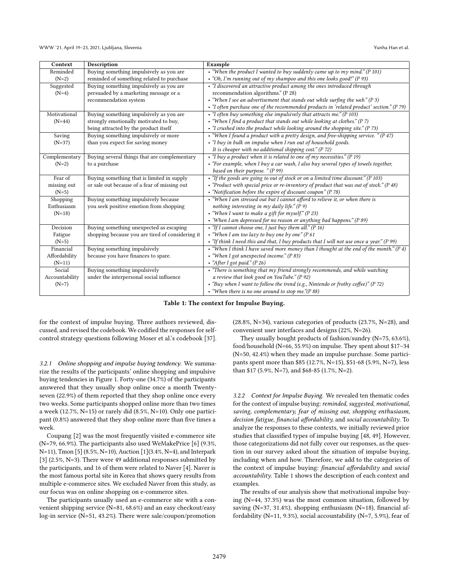<span id="page-3-0"></span>

| Context        | <b>Description</b>                               | Example                                                                                      |  |
|----------------|--------------------------------------------------|----------------------------------------------------------------------------------------------|--|
| Reminded       | Buying something impulsively as you are          | • "When the product I wanted to buy suddenly came up to my mind." (P 101)                    |  |
| $(N=2)$        | reminded of something related to purchase        | • "Oh, I'm running out of my shampoo and this one looks good!" (P 93)                        |  |
| Suggested      | Buying something impulsively as you are          | • "I discovered an attractive product among the ones introduced through                      |  |
| $(N=4)$        | persuaded by a marketing message or a            | recommendation algorithms." (P 28)                                                           |  |
|                | recommendation system                            | • "When I see an advertisement that stands out while surfing the web." $(P 3)$               |  |
|                |                                                  | • "I often purchase one of the recommended products in 'related product' section." (P 79)    |  |
| Motivational   | Buying something impulsively as you are          | • "I often buy something else impulsively that attracts me." ( $P$ 103)                      |  |
| $(N=44)$       | strongly emotionally motivated to buy,           | • "When I find a product that stands out while looking at clothes." $(P 7)$                  |  |
|                | being attracted by the product itself            | $\bullet$ "I crushed into the product while looking around the shopping site." (P 73)        |  |
| Saving         | Buying something impulsively or more             | • "When I found a product with a pretty design, and free-shipping service. " $(P 47)$        |  |
| $(N=37)$       | than you expect for saving money                 | • "I buy in bulk on impulse when I run out of household goods.                               |  |
|                |                                                  | It is cheaper with no additional shipping cost." $(P 72)$                                    |  |
| Complementary  | Buying several things that are complementary     | • "I buy a product when it is related to one of $my$ necessities." (P 19)                    |  |
| $(N=2)$        | to a purchase                                    | • "For example, when I buy a car wash, I also buy several types of towels together,          |  |
|                |                                                  | based on their purpose. " $(P 99)$                                                           |  |
| Fear of        | Buying something that is limited in supply       | • "If the goods are going to out of stock or on a limited time discount." (P 103)            |  |
| missing out    | or sale out because of a fear of missing out     | • "Product with special price or re-inventory of product that was out of stock." (P 48)      |  |
| $(N=5)$        |                                                  | • "Notification before the expire of discount coupon" (P 78)                                 |  |
| Shopping       | Buying something impulsively because             | • "When I am stressed out but I cannot afford to relieve it, or when there is                |  |
| Enthusiasm     | you seek positive emotion from shopping          | nothing interesting in my daily life." $(P 9)$                                               |  |
| $(N=18)$       |                                                  | • "When I want to make a gift for myself." $(P 23)$                                          |  |
|                |                                                  | • 'When I am depressed for no reason or anything bad happens." (P 89)                        |  |
| Decision       | Buying something unexpected as escaping          | • "If I cannot choose one, I just buy them all." (P 16)                                      |  |
| Fatigue        | shopping because you are tired of considering it | • "When I am too lazy to buy one by one" (P 61                                               |  |
| $(N=5)$        |                                                  | • "If think I need this and that, I buy products that I will not use once a year." ( $P$ 99) |  |
| Financial      | Buying something impulsively                     | . "When I think I have saved more money than I thought at the end of the month." (P 4)       |  |
| Affordability  | because you have finances to spare.              | • "When I got unexpected income." $(P 83)$                                                   |  |
| $(N=11)$       |                                                  | • "After I got paid." $(P 26)$                                                               |  |
| Social         | Buying something impulsively                     | • "There is something that my friend strongly recommends, and while watching                 |  |
| Accountability | under the interpersonal social influence         | a review that look good on YouTube." $(P 92)$                                                |  |
| $(N=7)$        |                                                  | • "Buy when I want to follow the trend (e.g., Nintendo or frothy coffee)" (P 72)             |  |
|                |                                                  | • "When there is no one around to stop me." $(P 88)$                                         |  |

Table 1: The context for Impulse Buying.

for the context of impulse buying. Three authors reviewed, discussed, and revised the codebook. We codified the responses for selfcontrol strategy questions following Moser et al.'s codebook [\[37\]](#page-11-5).

3.2.1 Online shopping and impulse buying tendency. We summarize the results of the participants' online shopping and impulsive buying tendencies in Figure [1.](#page-2-0) Forty-one (34.7%) of the participants answered that they usually shop online once a month Twentyseven (22.9%) of them reported that they shop online once every two weeks. Some participants shopped online more than two times a week (12.7%, N=15) or rarely did (8.5%, N=10). Only one participant (0.8%) answered that they shop online more than five times a week.

Coupang [\[2\]](#page-11-37) was the most frequently visited e-commerce site (N=79, 66.9%). The participants also used WeMakePrice [\[6\]](#page-11-38) (9.3%, N=11), Tmon [\[5\]](#page-11-39) (8.5%, N=10), Auction [\[1\]](#page-11-40)(3.4%, N=4), and Interpark [\[3\]](#page-11-41) (2.5%, N=3). There were 49 additional responses submitted by the participants, and 16 of them were related to Naver [\[4\]](#page-11-42). Naver is the most famous portal site in Korea that shows query results from multiple e-commerce sites. We excluded Naver from this study, as our focus was on online shopping on e-commerce sites.

The participants usually used an e-commerce site with a convenient shipping service (N=81, 68.6%) and an easy checkout/easy log-in service (N=51, 43.2%). There were sale/coupon/promotion

(28.8%, N=34), various categories of products (23.7%, N=28), and convenient user interfaces and designs (22%, N=26).

They usually bought products of fashion/sundry (N=75, 63.6%), food/household (N=66, 55.9%) on impulse. They spent about \$17–34 (N=50, 42.4%) when they made an impulse purchase. Some participants spent more than \$85 (12.7%, N=15), \$51-68 (5.9%, N=7), less than \$17 (5.9%, N=7), and \$68-85 (1.7%, N=2).

3.2.2 Context for Impulse Buying. We revealed ten thematic codes for the context of impulse buying: reminded, suggested, motivational, saving, complementary, fear of missing out, shopping enthusiasm, decision fatigue, financial affordability, and social accountability. To analyze the responses to these contexts, we initially reviewed prior studies that classified types of impulse buying [\[48,](#page-11-43) [49\]](#page-11-12). However, those categorizations did not fully cover our responses, as the question in our survey asked about the situation of impulse buying, including when and how. Therefore, we add to the categories of the context of impulse buying: financial affordability and social accountability. Table [1](#page-3-0) shows the description of each context and examples.

The results of our analysis show that motivational impulse buying (N=44, 37.3%) was the most common situation, followed by saving (N=37, 31.4%), shopping enthusiasm (N=18), financial affordability (N=11, 9.3%), social accountability (N=7, 5.9%), fear of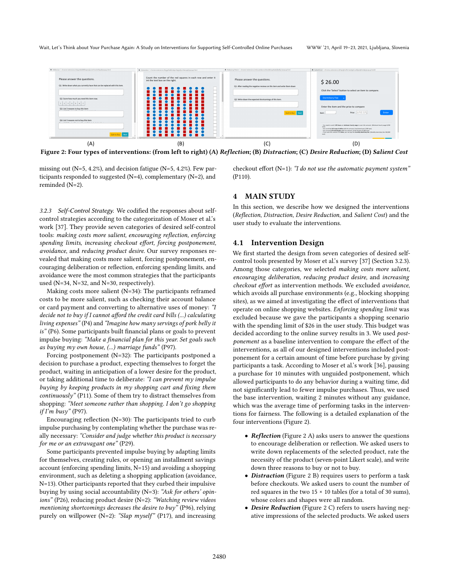<span id="page-4-1"></span>

Figure 2: Four types of interventions: (from left to right) (A) Reflection; (B) Distraction; (C) Desire Reduction; (D) Salient Cost

missing out (N=5, 4.2%), and decision fatigue (N=5, 4.2%). Few participants responded to suggested (N=4), complementary (N=2), and reminded (N=2).

<span id="page-4-0"></span>3.2.3 Self-Control Strategy. We codified the responses about selfcontrol strategies according to the categorization of Moser et al.'s work [\[37\]](#page-11-5). They provide seven categories of desired self-control tools: making costs more salient, encouraging reflection, enforcing spending limits, increasing checkout effort, forcing postponement, avoidance, and reducing product desire. Our survey responses revealed that making costs more salient, forcing postponement, encouraging deliberation or reflection, enforcing spending limits, and avoidance were the most common strategies that the participants used (N=34, N=32, and N=30, respectively).

Making costs more salient (N=34): The participants reframed costs to be more salient, such as checking their account balance or card payment and converting to alternative uses of money: "I decide not to buy if I cannot afford the credit card bills (...) calculating living expenses" (P4) and "Imagine how many servings of pork belly it is" (P6). Some participants built financial plans or goals to prevent impulse buying: "Make a financial plan for this year. Set goals such as buying my own house, (...) marriage funds" (P97).

Forcing postponement (N=32): The participants postponed a decision to purchase a product, expecting themselves to forget the product, waiting in anticipation of a lower desire for the product, or taking additional time to deliberate: "I can prevent my impulse buying by keeping products in my shopping cart and fixing them continuously" (P11). Some of them try to distract themselves from shopping: "Meet someone rather than shopping. I don't go shopping  $if I'm busy" (P97).$ 

Encouraging reflection (N=30): The participants tried to curb impulse purchasing by contemplating whether the purchase was really necessary: "Consider and judge whether this product is necessary for me or an extravagant one" (P29).

Some participants prevented impulse buying by adapting limits for themselves, creating rules, or opening an installment savings account (enforcing spending limits, N=15) and avoiding a shopping environment, such as deleting a shopping application (avoidance, N=13). Other participants reported that they curbed their impulsive buying by using social accountability (N=3): "Ask for others' opinions" (P26), reducing product desire (N=2): "Watching review videos mentioning shortcomings decreases the desire to buy" (P96), relying purely on willpower (N=2): "Slap myself" (P17), and increasing

checkout effort (N=1): "I do not use the automatic payment system" (P110).

# 4 MAIN STUDY

In this section, we describe how we designed the interventions (Reflection, Distraction, Desire Reduction, and Salient Cost) and the user study to evaluate the interventions.

#### 4.1 Intervention Design

We first started the design from seven categories of desired selfcontrol tools presented by Moser et al.'s survey [\[37\]](#page-11-5) (Section [3.2.3\)](#page-4-0). Among those categories, we selected making costs more salient, encouraging deliberation, reducing product desire, and increasing checkout effort as intervention methods. We excluded avoidance, which avoids all purchase environments (e.g., blocking shopping sites), as we aimed at investigating the effect of interventions that operate on online shopping websites. Enforcing spending limit was excluded because we gave the participants a shopping scenario with the spending limit of \$26 in the user study. This budget was decided according to the online survey results in [3.](#page-2-1) We used postponement as a baseline intervention to compare the effect of the interventions, as all of our designed interventions included postponement for a certain amount of time before purchase by giving participants a task. According to Moser et al.'s work [\[36\]](#page-11-7), pausing a purchase for 10 minutes with unguided postponement, which allowed participants to do any behavior during a waiting time, did not significantly lead to fewer impulse purchases. Thus, we used the base intervention, waiting 2 minutes without any guidance, which was the average time of performing tasks in the interventions for fairness. The following is a detailed explanation of the four interventions (Figure [2\)](#page-4-1).

- Reflection (Figure [2](#page-4-1) A) asks users to answer the questions to encourage deliberation or reflection. We asked users to write down replacements of the selected product, rate the necessity of the product (seven-point Likert scale), and write down three reasons to buy or not to buy.
- Distraction (Figure [2](#page-4-1) B) requires users to perform a task before checkouts. We asked users to count the number of red squares in the two  $15 \times 10$  tables (for a total of 30 sums), whose colors and shapes were all random.
- Desire Reduction (Figure [2](#page-4-1) C) refers to users having negative impressions of the selected products. We asked users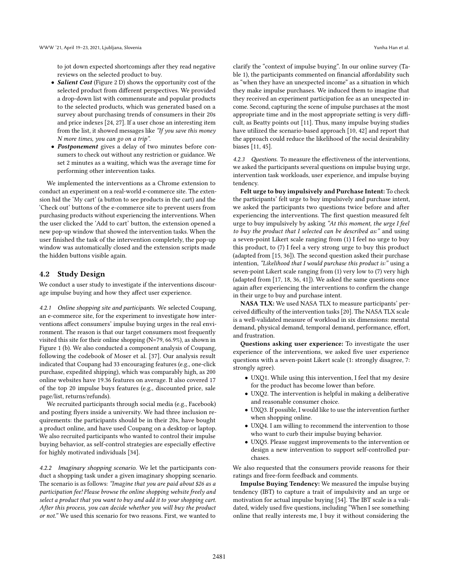to jot down expected shortcomings after they read negative reviews on the selected product to buy.

- *Salient Cost* (Figure [2](#page-4-1) D) shows the opportunity cost of the selected product from different perspectives. We provided a drop-down list with commensurate and popular products to the selected products, which was generated based on a survey about purchasing trends of consumers in their 20s and price indexes [\[24,](#page-11-44) [27\]](#page-11-45). If a user chose an interesting item from the list, it showed messages like "If you save this money N more times, you can go on a trip".
- Postponement gives a delay of two minutes before consumers to check out without any restriction or guidance. We set 2 minutes as a waiting, which was the average time for performing other intervention tasks.

We implemented the interventions as a Chrome extension to conduct an experiment on a real-world e-commerce site. The extension hid the 'My cart' (a button to see products in the cart) and the 'Check out' buttons of the e-commerce site to prevent users from purchasing products without experiencing the interventions. When the user clicked the 'Add to cart' button, the extension opened a new pop-up window that showed the intervention tasks. When the user finished the task of the intervention completely, the pop-up window was automatically closed and the extension scripts made the hidden buttons visible again.

### 4.2 Study Design

We conduct a user study to investigate if the interventions discourage impulse buying and how they affect user experience.

4.2.1 Online shopping site and participants. We selected Coupang, an e-commerce site, for the experiment to investigate how interventions affect consumers' impulse buying urges in the real environment. The reason is that our target consumers most frequently visited this site for their online shopping (N=79, 66.9%), as shown in Figure [1](#page-2-0) (b). We also conducted a component analysis of Coupang, following the codebook of Moser et al. [\[37\]](#page-11-5). Our analysis result indicated that Coupang had 33 encouraging features (e.g., one-click purchase, expedited shipping), which was comparably high, as 200 online websites have 19.36 features on average. It also covered 17 of the top 20 impulse buys features (e.g., discounted price, sale page/list, returns/refunds).

We recruited participants through social media (e.g., Facebook) and posting flyers inside a university. We had three inclusion requirements: the participants should be in their 20s, have bought a product online, and have used Coupang on a desktop or laptop. We also recruited participants who wanted to control their impulse buying behavior, as self-control strategies are especially effective for highly motivated individuals [\[34\]](#page-11-46).

4.2.2 Imaginary shopping scenario. We let the participants conduct a shopping task under a given imaginary shopping scenario. The scenario is as follows: "Imagine that you are paid about \$26 as a participation fee! Please browse the online shopping website freely and select a product that you want to buy and add it to your shopping cart. After this process, you can decide whether you will buy the product or not." We used this scenario for two reasons. First, we wanted to

clarify the "context of impulse buying". In our online survey (Table [1\)](#page-3-0), the participants commented on financial affordability such as "when they have an unexpected income" as a situation in which they make impulse purchases. We induced them to imagine that they received an experiment participation fee as an unexpected income. Second, capturing the scene of impulse purchases at the most appropriate time and in the most appropriate setting is very difficult, as Beatty points out [\[11\]](#page-11-11). Thus, many impulse buying studies have utilized the scenario-based approach [\[10,](#page-11-25) [42\]](#page-11-26) and report that the approach could reduce the likelihood of the social desirability biases [\[11,](#page-11-11) [45\]](#page-11-18).

4.2.3 Questions. To measure the effectiveness of the interventions, we asked the participants several questions on impulse buying urge, intervention task workloads, user experience, and impulse buying tendency.

Felt urge to buy impulsively and Purchase Intent: To check the participants' felt urge to buy impulsively and purchase intent, we asked the participants two questions twice before and after experiencing the interventions. The first question measured felt urge to buy impulsively by asking "At this moment, the urge I feel to buy the product that I selected can be described as:" and using a seven-point Likert scale ranging from (1) I feel no urge to buy this product, to (7) I feel a very strong urge to buy this product (adapted from [\[15,](#page-11-47) [36\]](#page-11-7)). The second question asked their purchase intention, "Likelihood that I would purchase this product is:" using a seven-point Likert scale ranging from (1) very low to (7) very high (adapted from [\[17,](#page-11-48) [18,](#page-11-49) [36,](#page-11-7) [41\]](#page-11-50)). We asked the same questions once again after experiencing the interventions to confirm the change in their urge to buy and purchase intent.

NASA TLX: We used NASA TLX to measure participants' perceived difficulty of the intervention tasks [\[20\]](#page-11-51). The NASA TLX scale is a well-validated measure of workload in six dimensions: mental demand, physical demand, temporal demand, performance, effort, and frustration.

Questions asking user experience: To investigate the user experience of the interventions, we asked five user experience questions with a seven-point Likert scale (1: strongly disagree, 7: strongly agree).

- UXQ1. While using this intervention, I feel that my desire for the product has become lower than before.
- UXQ2. The intervention is helpful in making a deliberative and reasonable consumer choice.
- UXQ3. If possible, I would like to use the intervention further when shopping online.
- UXQ4. I am willing to recommend the intervention to those who want to curb their impulse buying behavior.
- UXQ5. Please suggest improvements to the intervention or design a new intervention to support self-controlled purchases.

We also requested that the consumers provide reasons for their ratings and free-form feedback and comments.

Impulse Buying Tendency: We measured the impulse buying tendency (IBT) to capture a trait of impulsivity and an urge or motivation for actual impulse buying [\[54\]](#page-11-52). The IBT scale is a validated, widely used five questions, including "When I see something online that really interests me, I buy it without considering the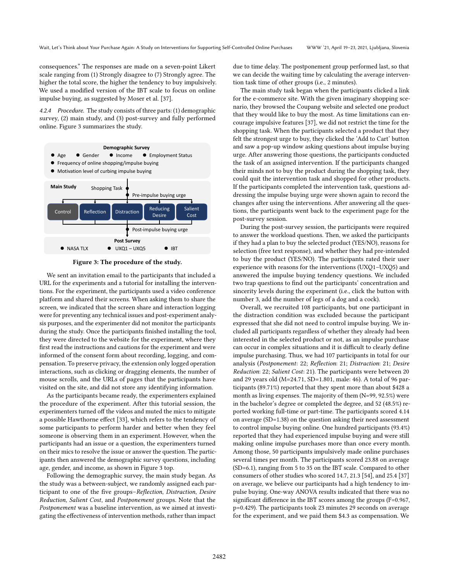consequences." The responses are made on a seven-point Likert scale ranging from (1) Strongly disagree to (7) Strongly agree. The higher the total score, the higher the tendency to buy impulsively. We used a modified version of the IBT scale to focus on online impulse buying, as suggested by Moser et al. [\[37\]](#page-11-5).

4.2.4 Procedure. The study consists of three parts: (1) demographic survey, (2) main study, and (3) post-survey and fully performed online. Figure [3](#page-6-0) summarizes the study.

<span id="page-6-0"></span>

Figure 3: The procedure of the study.

We sent an invitation email to the participants that included a URL for the experiments and a tutorial for installing the interventions. For the experiment, the participants used a video conference platform and shared their screens. When asking them to share the screen, we indicated that the screen share and interaction logging were for preventing any technical issues and post-experiment analysis purposes, and the experimenter did not monitor the participants during the study. Once the participants finished installing the tool, they were directed to the website for the experiment, where they first read the instructions and cautions for the experiment and were informed of the consent form about recording, logging, and compensation. To preserve privacy, the extension only logged operation interactions, such as clicking or dragging elements, the number of mouse scrolls, and the URLs of pages that the participants have visited on the site, and did not store any identifying information.

As the participants became ready, the experimenters explained the procedure of the experiment. After this tutorial session, the experimenters turned off the videos and muted the mics to mitigate a possible Hawthorne effect [\[33\]](#page-11-53), which refers to the tendency of some participants to perform harder and better when they feel someone is observing them in an experiment. However, when the participants had an issue or a question, the experimenters turned on their mics to resolve the issue or answer the question. The participants then answered the demographic survey questions, including age, gender, and income, as shown in Figure [3](#page-6-0) top.

Following the demographic survey, the main study began. As the study was a between-subject, we randomly assigned each participant to one of the five groups–Reflection, Distraction, Desire Reduction, Salient Cost, and Postponement groups. Note that the Postponement was a baseline intervention, as we aimed at investigating the effectiveness of intervention methods, rather than impact

due to time delay. The postponement group performed last, so that we can decide the waiting time by calculating the average intervention task time of other groups (i.e., 2 minutes).

The main study task began when the participants clicked a link for the e-commerce site. With the given imaginary shopping scenario, they browsed the Coupang website and selected one product that they would like to buy the most. As time limitations can encourage impulsive features [\[37\]](#page-11-5), we did not restrict the time for the shopping task. When the participants selected a product that they felt the strongest urge to buy, they clicked the 'Add to Cart' button and saw a pop-up window asking questions about impulse buying urge. After answering those questions, the participants conducted the task of an assigned intervention. If the participants changed their minds not to buy the product during the shopping task, they could quit the intervention task and shopped for other products. If the participants completed the intervention task, questions addressing the impulse buying urge were shown again to record the changes after using the interventions. After answering all the questions, the participants went back to the experiment page for the post-survey session.

During the post-survey session, the participants were required to answer the workload questions. Then, we asked the participants if they had a plan to buy the selected product (YES/NO), reasons for selection (free text response), and whether they had pre-intended to buy the product (YES/NO). The participants rated their user experience with reasons for the interventions (UXQ1–UXQ5) and answered the impulse buying tendency questions. We included two trap questions to find out the participants' concentration and sincerity levels during the experiment (i.e., click the button with number 3, add the number of legs of a dog and a cock).

Overall, we recruited 108 participants, but one participant in the distraction condition was excluded because the participant expressed that she did not need to control impulse buying. We included all participants regardless of whether they already had been interested in the selected product or not, as an impulse purchase can occur in complex situations and it is difficult to clearly define impulse purchasing. Thus, we had 107 participants in total for our analysis (Postponement: 22; Reflection: 21; Distraction: 21; Desire Reduction: 22; Salient Cost: 21). The participants were between 20 and 29 years old (M=24.71, SD=1.801, male: 46). A total of 96 participants (89.71%) reported that they spent more than about \$428 a month as living expenses. The majority of them (N=99, 92.5%) were in the bachelor's degree or completed the degree, and 52 (48.5%) reported working full-time or part-time. The participants scored 4.14 on average (SD=1.38) on the question asking their need assessment to control impulse buying online. One hundred participants (93.4%) reported that they had experienced impulse buying and were still making online impulse purchases more than once every month. Among those, 50 participants impulsively made online purchases several times per month. The participants scored 23.88 on average (SD=6.1), ranging from 5 to 35 on the IBT scale. Compared to other consumers of other studies who scored 14.7, 21.3 [\[54\]](#page-11-52), and 25.4 [\[37\]](#page-11-5) on average, we believe our participants had a high tendency to impulse buying. One-way ANOVA results indicated that there was no significant difference in the IBT scores among the groups (F=0.967, p=0.429). The participants took 23 minutes 29 seconds on average for the experiment, and we paid them \$4.3 as compensation. We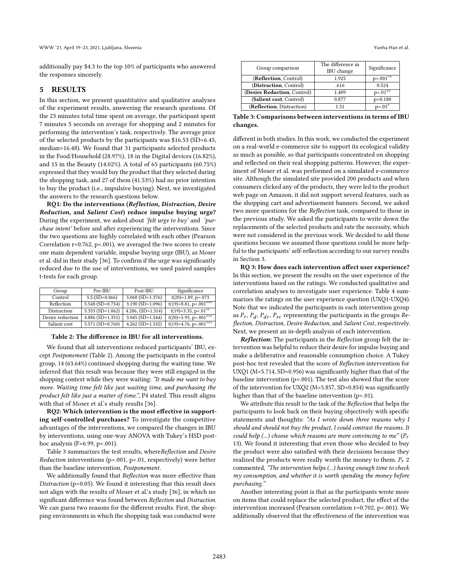additionally pay \$4.3 to the top 10% of participants who answered the responses sincerely.

# <span id="page-7-2"></span>5 RESULTS

In this section, we present quantitative and qualitative analyses of the experiment results, answering the research questions. Of the 23 minutes total time spent on average, the participant spent 7 minutes 5 seconds on average for shopping and 2 minutes for performing the intervention's task, respectively. The average price of the selected products by the participants was \$16.53 (SD=6.45, median=16.48). We found that 31 participants selected products in the Food/Household (28.97%), 18 in the Digital devices (16.82%), and 15 in the Beauty (14.02%). A total of 65 participants (60.75%) expressed that they would buy the product that they selected during the shopping task, and 27 of them (41.53%) had no prior intention to buy the product (i.e., impulsive buying). Next, we investigated the answers to the research questions below.

RQ1: Do the interventions (Reflection, Distraction, Desire Reduction, and Salient Cost) reduce impulse buying urge? During the experiment, we asked about 'felt urge to buy' and 'purchase intent' before and after experiencing the interventions. Since the two questions are highly correlated with each other (Pearson Correlation  $r=0.762$ ,  $p<0.01$ ), we averaged the two scores to create one main dependent variable, impulse buying urge (IBU), as Moser et al. did in their study [\[36\]](#page-11-7). To confirm if the urge was significantly reduced due to the use of interventions, we used paired samples t-tests for each group.

<span id="page-7-0"></span>

| Group            | Pre-IBU                | Post-IBU               | Significance             |
|------------------|------------------------|------------------------|--------------------------|
| Control          | $5.5$ (SD=0.866)       | $5.068$ (SD=1.376)     | $t(20)=1.89, p=.073$     |
| Reflection       | $5.548$ (SD=0.754)     | $3.190$ (SD= $1.096$ ) | $t(19)=8.81, p<.001***$  |
| Distraction      | 5.333 (SD= $1.062$ )   | $4.286$ , $(SD=1.314)$ | $t(19)=3.35, p<.01***$   |
| Desire reduction | $4.886$ (SD= $1.331$ ) | $3.045$ (SD= $1.544$ ) | $t(20)=5.95$ , p<.001*** |
| Salient cost     | $5.571$ (SD=0.760)     | $4.262$ (SD= $1.532$ ) | $t(19)=4.76, p<.001***$  |

Table 2: The difference in IBU for all interventions.

We found that all interventions reduced participants' IBU, except Postponement (Table [2\)](#page-7-0). Among the participants in the control group, 14 (63.64%) continued shopping during the waiting time. We inferred that this result was because they were still engaged in the shopping context while they were waiting: "It made me want to buy more. Waiting time felt like just waiting time, and purchasing the product felt like just a matter of time.", P4 stated. This result aligns with that of Moser et al.'s study results [\[36\]](#page-11-7).

RQ2: Which intervention is the most effective in supporting self-controlled purchases? To investigate the competitive advantages of the interventions, we compared the changes in IBU by interventions, using one-way ANOVA with Tukey's HSD posthoc analysis (F=6.99, p<.001).

Table [3](#page-7-1) summarizes the test results, whereReflection and Desire Reduction interventions (p<.001, p<.01, respectively) were better than the baseline intervention, Postponement.

We additionally found that Reflection was more effective than Distraction (p<0.05). We found it interesting that this result does not align with the results of Moser et al.'s study [\[36\]](#page-11-7), in which no significant difference was found between Reflection and Distraction. We can guess two reasons for the different results. First, the shopping environments in which the shopping task was conducted were

<span id="page-7-1"></span>

| Group comparison            | The difference in<br>IBU change | Significance |
|-----------------------------|---------------------------------|--------------|
| (Reflection, Control)       | 1.925                           | $p=.001**$   |
| (Distraction, Control)      | .616                            | 0.524        |
| (Desire Reduction, Control) | 1.409                           | $p<01***$    |
| (Salient cost, Control)     | 0.877                           | $p=0.180$    |
| (Reflection, Distraction)   | 131                             | $p < 0.05*$  |

Table 3: Comparisons between interventions in terms of IBU changes.

different in both studies. In this work, we conducted the experiment on a real-world e-commerce site to support its ecological validity as much as possible, so that participants concentrated on shopping and reflected on their real shopping patterns. However, the experiment of Moser et al. was performed on a simulated e-commerce site. Although the simulated site provided 200 products and when consumers clicked any of the products, they were led to the product web page on Amazon, it did not support several features, such as the shopping cart and advertisement banners. Second, we asked two more questions for the Reflection task, compared to those in the previous study. We asked the participants to write down the replacements of the selected products and rate the necessity, which were not considered in the previous work. We decided to add those questions because we assumed those questions could be more helpful to the participants' self-reflection according to our survey results in Section [3.](#page-2-1)

RQ 3: How does each intervention affect user experience? In this section, we present the results on the user experience of the interventions based on the ratings. We conducted qualitative and correlation analyses to investigate user experience. Table [4](#page-8-0) summarizes the ratings on the user experience question (UXQ1-UXQ4). Note that we indicated the participants in each intervention group as  $P_r$ ,  $P_d$ ,  $P_{dr}$ ,  $P_{sc}$  representing the participants in the groups  $Re$ flection, Distraction, Desire Reduction, and Salient Cost, respectively. Next, we present an in-depth analysis of each intervention.

**Reflection:** The participants in the Reflection group felt the intervention was helpful to reduce their desire for impulse buying and make a deliberative and reasonable consumption choice. A Tukey post-hoc test revealed that the score of Reflection intervention for UXQ1 (M=5.714, SD=0.956) was significantly higher than that of the baseline intervention (p=.001). The test also showed that the score of the intervention for UXQ2 (M=5.857, SD=0.854) was significantly higher than that of the baseline intervention (p<.01).

We attribute this result to the task of the Reflection that helps the participants to look back on their buying objectively with specific statements and thoughts: "As I wrote down three reasons why I should and should not buy the product, I could contrast the reasons. It could help (...) choose which reasons are more convincing to me"  $(P_r)$ 13). We found it interesting that even those who decided to buy the product were also satisfied with their decisions because they realized the products were really worth the money to them.  $P_r$  2 commented, "The intervention helps (...) having enough time to check my consumption, and whether it is worth spending the money before purchasing."

Another interesting point is that as the participants wrote more on items that could replace the selected product, the effect of the intervention increased (Pearson correlation r=0.702, p<.001). We additionally observed that the effectiveness of the intervention was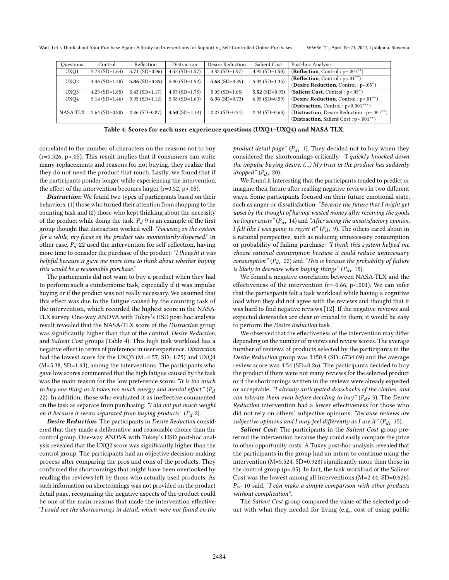<span id="page-8-0"></span>

| Ouestions                            | Control          | Reflection       | Distraction      | Desire Reduction | Salient Cost                        | Post-hoc Analysis                         |
|--------------------------------------|------------------|------------------|------------------|------------------|-------------------------------------|-------------------------------------------|
| UXQ1                                 | $3.73(SD=1.64)$  | $5.71(SD=0.96)$  | $4.52$ (SD=1.57) | $4.82$ (SD=1.97) | $4.95$ (SD= $1.50$ )                | (Reflection, Control: $p=.001**$ )        |
| UXO <sub>2</sub><br>$4.46$ (SD=1.50) |                  | 5.86 $(SD=0.85)$ | $5.00$ (SD=1.52) | 5.68 $(SD=0.89)$ | $5.33$ (SD=1.35)                    | (Reflection, Control: $p<01***$ )         |
|                                      |                  |                  |                  |                  | (Desire Reduction, Control: p<.05*) |                                           |
| UXO3                                 | $4.23$ (SD=1.85) | $5.43(SD=1.17)$  | $4.57$ (SD=1.75) | $5.05$ (SD=1.68) | 5.52 $(SD=0.93)$                    | (Salient Cost, Control: $p<0.05$ *)       |
| UXO4                                 | $5.14(SD=1.46)$  | $5.95(SD=1.12)$  | 5.38 $(SD=1.63)$ | 6.36 $(SD=0.73)$ | $6.05$ (SD=0.59)                    | (Desire Reduction, Control: p<.01**)      |
|                                      |                  |                  |                  |                  |                                     | (Distraction, Control: $p<0.001***$ )     |
| <b>NASA TLX</b>                      | $2.64$ (SD=0.80) | $2.86$ (SD=0.87) | $3.50$ (SD=1.14) | $2.27$ (SD=0.54) | $2.44$ (SD=0.63)                    | (Distraction, Desire Reduction: p=.001**) |
|                                      |                  |                  |                  |                  |                                     | (Distraction, Salient Cost: $p=.001**$ )  |
|                                      |                  |                  |                  |                  |                                     |                                           |

Table 4: Scores for each user experience questions (UXQ1–UXQ4) and NASA TLX.

correlated to the number of characters on the reasons not to buy  $(r=0.526, p<0.05)$ . This result implies that if consumers can write many replacements and reasons for not buying, they realize that they do not need the product that much. Lastly, we found that if the participants ponder longer while experiencing the intervention, the effect of the intervention becomes larger (r=0.52, p<.05).

Distraction: We found two types of participants based on their behaviors: (1) those who turned their attention from shopping to the counting task and (2) those who kept thinking about the necessity of the product while doing the task.  $P_d$  9 is an example of the first group thought that distraction worked well: "Focusing on the system for a while, my focus on the product was momentarily dispersed." In other case,  $P_d$  22 used the intervention for self-reflection, having more time to consider the purchase of the product: "I thought it was helpful because it gave me more time to think about whether buying this would be a reasonable purchase."

The participants did not want to buy a product when they had to perform such a cumbersome task, especially if it was impulse buying or if the product was not really necessary. We assumed that this effect was due to the fatigue caused by the counting task of the intervention, which recorded the highest score in the NASA-TLX survey. One-way ANOVA with Tukey's HSD post-hoc analysis result revealed that the NASA-TLX score of the Distraction group was significantly higher than that of the control, Desire Reduction, and Salient Cost groups (Table [4\)](#page-8-0). This high task workload has a negative effect in terms of preference in user experience. Distraction had the lowest score for the UXQ3 (M=4.57, SD=1.75) and UXQ4 (M=5.38, SD=1.63), among the interventions. The participants who gave low scores commented that the high fatigue caused by the task was the main reason for the low preference score: "It is too much to buy one thing as it takes too much energy and mental effort." ( $P_d$ 22). In addition, those who evaluated it as ineffective commented on the task as separate from purchasing: "I did not put much weight on it because it seems separated from buying products"  $(P_d 2)$ .

Desire Reduction: The participants in Desire Reduction considered that they made a deliberative and reasonable choice than the control group. One-way ANOVA with Tukey's HSD post-hoc analysis revealed that the UXQ2 score was significantly higher than the control group. The participants had an objective decision-making process after comparing the pros and cons of the products. They confirmed the shortcomings that might have been overlooked by reading the reviews left by those who actually used products. As such information on shortcomings was not provided on the product detail page, recognizing the negative aspects of the product could be one of the main reasons that made the intervention effective: "I could see the shortcomings in detail, which were not found on the product detail page" ( $P_{dr}$  1). They decided not to buy when they considered the shortcomings critically: "I quickly knocked down the impulse buying desire. (...) My trust in the product has suddenly dropped"  $(P_{dr} 20)$ .

We found it interesting that the participants tended to predict or imagine their future after reading negative reviews in two different ways. Some participants focused on their future emotional state, such as anger or dissatisfaction: "Because the future that I might get upset by the thought of having wasted money after receiving the goods no longer exists" ( $P_{dr}$  14) and "After seeing the unsatisfactory opinion, I felt like I was going to regret it" ( $P_{dr}$  9). The others cared about in a rational perspective, such as reducing unnecessary consumption or probability of failing purchase: "I think this system helped me choose rational consumption because it could reduce unnecessary consumption" ( $P_{dr}$  22) and "This is because the probability of failure is likely to decrease when buying things" ( $P_{dr}$  15).

We found a negative correlation between NASA-TLX and the effectiveness of the intervention (r=-0.66, p<.001). We can infer that the participants felt a task workload while having a cognitive load when they did not agree with the reviews and thought that it was hard to find negative reviews [\[12\]](#page-11-54). If the negative reviews and expected downsides are clear or crucial to them, it would be easy to perform the Desire Reduction task.

We observed that the effectiveness of the intervention may differ depending on the number of reviews and review scores. The average number of reviews of products selected by the participants in the Desire Reduction group was 3150.9 (SD=6734.69) and the average review score was 4.54 (SD=0.26). The participants decided to buy the product if there were not many reviews for the selected product or if the shortcomings written in the reviews were already expected or acceptable: "I already anticipated drawbacks of the clothes, and can tolerate them even before deciding to buy" ( $P_{dr}$  3). The Desire Reduction intervention had a lower effectiveness for those who did not rely on others' subjective opinions: "Because reviews are subjective opinions and I may feel differently as I use it" ( $P_{dr}$  15).

Salient Cost: The participants in the Salient Cost group preferred the intervention because they could easily compare the price to other opportunity costs. A Tukey post-hoc analysis revealed that the participants in the group had an intent to continue using the intervention (M=5.524, SD=0.928) significantly more than those in the control group (p<.05). In fact, the task workload of the Salient Cost was the lowest among all interventions (M=2.44, SD=0.626).  $P_{sc}$  10 said, "I can make a simple comparison with other products without complication".

The Salient Cost group compared the value of the selected product with what they needed for living (e.g., cost of using public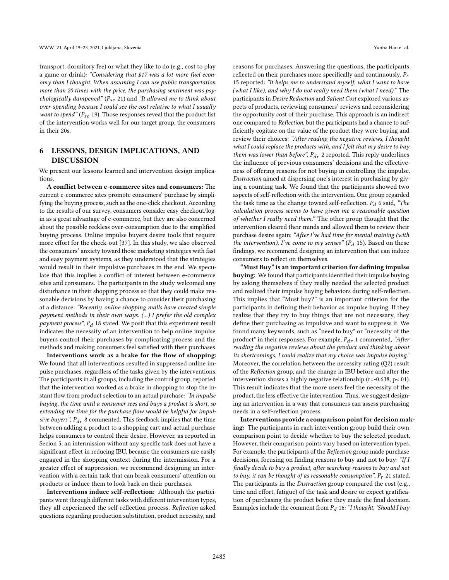transport, dormitory fee) or what they like to do (e.g., cost to play a game or drink): "Considering that \$17 was a lot more fuel economy than I thought. When assuming I can use public transportation more than 20 times with the price, the purchasing sentiment was psychologically dampened" ( $P_{sc}$  21) and "It allowed me to think about over-spending because I could see the cost relative to what I usually want to spend" ( $P_{sc}$  19). Those responses reveal that the product list of the intervention works well for our target group, the consumers in their 20s.

# 6 LESSONS, DESIGN IMPLICATIONS, AND DISCUSSION

We present our lessons learned and intervention design implications.

A conflict between e-commerce sites and consumers: The current e-commerce sites promote consumers' purchase by simplifying the buying process, such as the one-click checkout. According to the results of our survey, consumers consider easy checkout/login as a great advantage of e-commerce, but they are also concerned about the possible reckless over-consumption due to the simplified buying process. Online impulse buyers desire tools that require more effort for the check-out [\[37\]](#page-11-5). In this study, we also observed the consumers' anxiety toward those marketing strategies with fast and easy payment systems, as they understood that the strategies would result in their impulsive purchases in the end. We speculate that this implies a conflict of interest between e-commerce sites and consumers. The participants in the study welcomed any disturbance in their shopping process so that they could make reasonable decisions by having a chance to consider their purchasing at a distance: "Recently, online shopping malls have created simple payment methods in their own ways. (...) I prefer the old complex payment process",  $P_d$  18 stated. We posit that this experiment result indicates the necessity of an intervention to help online impulse buyers control their purchases by complicating process and the methods and making consumers feel satisfied with their purchases.

Interventions work as a brake for the flow of shopping: We found that all interventions resulted in suppressed online impulse purchases, regardless of the tasks given by the interventions. The participants in all groups, including the control group, reported that the intervention worked as a brake in shopping to stop the instant flow from product selection to an actual purchase: "In impulse buying, the time until a consumer sees and buys a product is short, so extending the time for the purchase flow would be helpful for impulsive buyers",  $P_{dr}$  8 commented. This feedback implies that the time between adding a product to a shopping cart and actual purchase helps consumers to control their desire. However, as reported in Secion [5,](#page-7-2) an intermission without any specific task does not have a significant effect in reducing IBU, because the consumers are easily engaged in the shopping context during the intermission. For a greater effect of suppression, we recommend designing an intervention with a certain task that can break consumers' attention on products or induce them to look back on their purchases.

Interventions induce self-reflection: Although the participants went through different tasks with different intervention types, they all experienced the self-reflection process. Reflection asked questions regarding production substitution, product necessity, and

reasons for purchases. Answering the questions, the participants reflected on their purchases more specifically and continuously.  $P_r$ 15 reported: "It helps me to understand myself, what I want to have (what I like), and why I do not really need them (what I need)." The participants in Desire Reduction and Salient Cost explored various aspects of products, reviewing consumers' reviews and reconsidering the opportunity cost of their purchase. This approach is an indirect one compared to Reflection, but the participants had a chance to sufficiently cogitate on the value of the product they were buying and review their choices: "After reading the negative reviews, I thought what I could replace the products with, and I felt that  $m\gamma$  desire to buy them was lower than before",  $P_{dr}$  2 reported. This reply underlines the influence of previous consumers' decisions and the effectiveness of offering reasons for not buying in controlling the impulse. Distraction aimed at dispersing one's interest in purchasing by giving a counting task. We found that the participants showed two aspects of self-reflection with the intervention. One group regarded the task time as the change toward self-reflection.  $P_d$  6 said, "The calculation process seems to have given me a reasonable question of whether I really need them." The other group thought that the intervention cleared their minds and allowed them to review their purchase desire again: "After I've had time for mental training (with the intervention), I've come to my senses" ( $P_d$  15). Based on these findings, we recommend designing an intervention that can induce consumers to reflect on themselves.

"Must Buy" is an important criterion for defining impulse buying: We found that participants identified their impulse buying by asking themselves if they really needed the selected product and realized their impulse buying behaviors during self-reflection. This implies that "Must buy?" is an important criterion for the participants in defining their behavior as impulse buying. If they realize that they try to buy things that are not necessary, they define their purchasing as impulsive and want to suppress it. We found many keywords, such as "need to buy" or "necessity of the product" in their responses. For example,  $P_{dr}$  1 commented, "After reading the negative reviews about the product and thinking about its shortcomings, I could realize that my choice was impulse buying." Moreover, the correlation between the necessity rating (Q2) result of the Reflection group, and the change in IBU before and after the intervention shows a highly negative relationship (r=-0.638, p<.01). This result indicates that the more users feel the necessity of the product, the less effective the intervention. Thus, we suggest designing an intervention in a way that consumers can assess purchasing needs in a self-reflection process.

Interventions provide a comparison point for decision making: The participants in each intervention group build their own comparison point to decide whether to buy the selected product. However, their comparison points vary based on intervention types. For example, the participants of the Reflection group made purchase decisions, focusing on finding reasons to buy and not to buy: "If I finally decide to buy a product, after searching reasons to buy and not to buy, it can be thought of as reasonable consumption",  $P_r$  21 stated. The participants in the Distraction group compared the cost (e.g., time and effort, fatigue) of the task and desire or expect gratification of purchasing the product before they made the final decision. Examples include the comment from  $P_d$  16: "I thought, 'Should I buy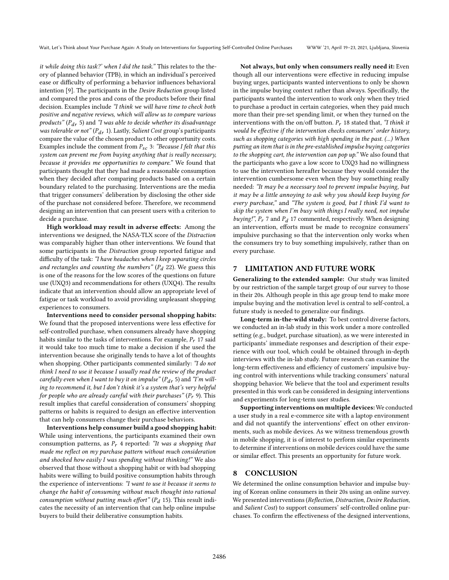it while doing this task?' when I did the task." This relates to the theory of planned behavior (TPB), in which an individual's perceived ease or difficulty of performing a behavior influences behavioral intention [\[9\]](#page-11-55). The participants in the Desire Reduction group listed and compared the pros and cons of the products before their final decision. Examples include "I think we will have time to check both positive and negative reviews, which will allow us to compare various products" ( $P_{dr}$  5) and "I was able to decide whether its disadvantage was tolerable or not"  $(P_{dr} 1)$ . Lastly, Salient Cost group's participants compare the value of the chosen product to other opportunity costs. Examples include the comment from  $P_{sc}$  3: "Because I felt that this system can prevent me from buying anything that is really necessary, because it provides me opportunities to compare." We found that participants thought that they had made a reasonable consumption when they decided after comparing products based on a certain boundary related to the purchasing. Interventions are the media that trigger consumers' deliberation by disclosing the other side of the purchase not considered before. Therefore, we recommend designing an intervention that can present users with a criterion to decide a purchase.

High workload may result in adverse effects: Among the interventions we designed, the NASA-TLX score of the Distraction was comparably higher than other interventions. We found that some participants in the Distraction group reported fatigue and difficulty of the task: "I have headaches when I keep separating circles and rectangles and counting the numbers" ( $P_d$  22). We guess this is one of the reasons for the low scores of the questions on future use (UXQ3) and recommendations for others (UXQ4). The results indicate that an intervention should allow an appropriate level of fatigue or task workload to avoid providing unpleasant shopping experiences to consumers.

Interventions need to consider personal shopping habits: We found that the proposed interventions were less effective for self-controlled purchase, when consumers already have shopping habits similar to the tasks of interventions. For example,  $P_r$  17 said it would take too much time to make a decision if she used the intervention because she originally tends to have a lot of thoughts when shopping. Other participants commented similarly: "I do not think I need to use it because I usually read the review of the product carefully even when I want to buy it on impulse" ( $P_{dr}$  5) and "I'm willing to recommend it, but I don't think it's a system that's very helpful for people who are already careful with their purchases"  $(P_r \, 9)$ . This result implies that careful consideration of consumers' shopping patterns or habits is required to design an effective intervention that can help consumers change their purchase behaviors.

Interventions help consumer build a good shopping habit: While using interventions, the participants examined their own consumption patterns, as  $P_r$  4 reported: "It was a shopping that made me reflect on my purchase pattern without much consideration and shocked how easily I was spending without thinking!" We also observed that those without a shopping habit or with bad shopping habits were willing to build positive consumption habits through the experience of interventions: "I want to use it because it seems to change the habit of consuming without much thought into rational consumption without putting much effort" ( $P_d$  15). This result indicates the necessity of an intervention that can help online impulse buyers to build their deliberative consumption habits.

Not always, but only when consumers really need it: Even though all our interventions were effective in reducing impulse buying urges, participants wanted interventions to only be shown in the impulse buying context rather than always. Specifically, the participants wanted the intervention to work only when they tried to purchase a product in certain categories, when they paid much more than their pre-set spending limit, or when they turned on the interventions with the on/off button.  $P_r$  18 stated that, "I think it would be effective if the intervention checks consumers' order history, such as shopping categories with high spending in the past. (...) When putting an item that is in the pre-established impulse buying categories to the shopping cart, the intervention can pop up." We also found that the participants who gave a low score to UXQ3 had no willingness to use the intervention hereafter because they would consider the intervention cumbersome even when they buy something really needed: "It may be a necessary tool to prevent impulse buying, but it may be a little annoying to ask why you should keep buying for every purchase," and "The system is good, but I think I'd want to skip the system when I'm busy with things I really need, not impulse buying!",  $P_r$  7 and  $P_d$  17 commented, respectively. When designing an intervention, efforts must be made to recognize consumers' impulsive purchasing so that the intervention only works when the consumers try to buy something impulsively, rather than on every purchase.

### 7 LIMITATION AND FUTURE WORK

Generalizing to the extended sample: Our study was limited by our restriction of the sample target group of our survey to those in their 20s. Although people in this age group tend to make more impulse buying and the motivation level is central to self-control, a future study is needed to generalize our findings.

Long-term in-the-wild study: To best control diverse factors, we conducted an in-lab study in this work under a more controlled setting (e.g., budget, purchase situation), as we were interested in participants' immediate responses and description of their experience with our tool, which could be obtained through in-depth interviews with the in-lab study. Future research can examine the long-term effectiveness and efficiency of customers' impulsive buying control with interventions while tracking consumers' natural shopping behavior. We believe that the tool and experiment results presented in this work can be considered in designing interventions and experiments for long-term user studies.

Supporting interventions on multiple devices: We conducted a user study in a real e-commerce site with a laptop environment and did not quantify the interventions' effect on other environments, such as mobile devices. As we witness tremendous growth in mobile shopping, it is of interest to perform similar experiments to determine if interventions on mobile devices could have the same or similar effect. This presents an opportunity for future work.

### 8 CONCLUSION

We determined the online consumption behavior and impulse buying of Korean online consumers in their 20s using an online survey. We presented interventions (Reflection, Distraction, Desire Reduction, and Salient Cost) to support consumers' self-controlled online purchases. To confirm the effectiveness of the designed interventions,